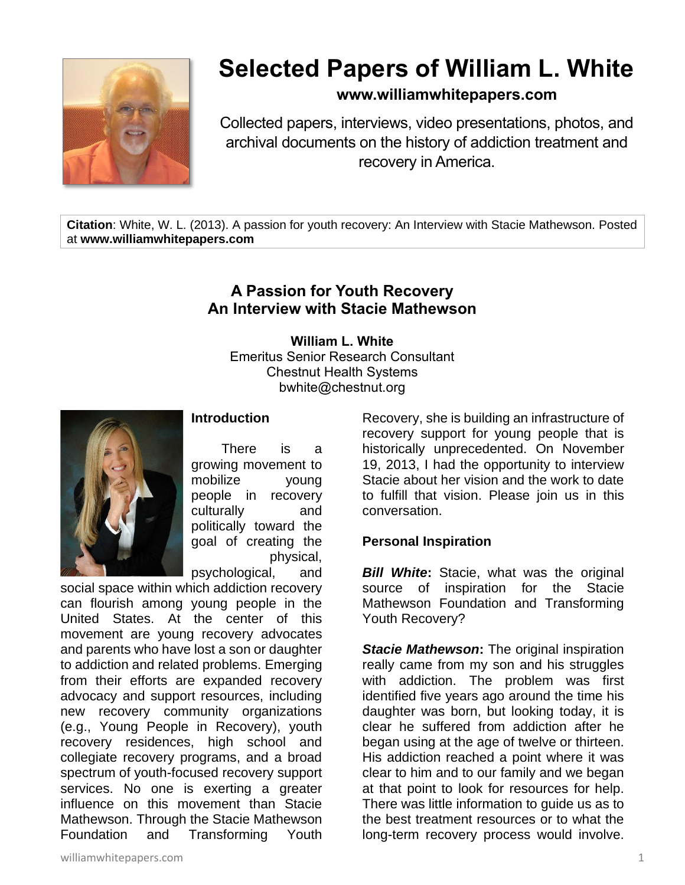

# **Selected Papers of William L. White**

## **www.williamwhitepapers.com**

Collected papers, interviews, video presentations, photos, and archival documents on the history of addiction treatment and recovery in America.

**Citation**: White, W. L. (2013). A passion for youth recovery: An Interview with Stacie Mathewson. Posted at **www.williamwhitepapers.com**

# **A Passion for Youth Recovery An Interview with Stacie Mathewson**

**William L. White** Emeritus Senior Research Consultant Chestnut Health Systems bwhite@chestnut.org



## **Introduction**

There is a growing movement to mobilize young people in recovery culturally and politically toward the goal of creating the physical,

psychological, and social space within which addiction recovery can flourish among young people in the United States. At the center of this movement are young recovery advocates and parents who have lost a son or daughter to addiction and related problems. Emerging from their efforts are expanded recovery advocacy and support resources, including new recovery community organizations (e.g., Young People in Recovery), youth recovery residences, high school and collegiate recovery programs, and a broad spectrum of youth-focused recovery support services. No one is exerting a greater influence on this movement than Stacie Mathewson. Through the Stacie Mathewson Foundation and Transforming Youth Recovery, she is building an infrastructure of recovery support for young people that is historically unprecedented. On November 19, 2013, I had the opportunity to interview Stacie about her vision and the work to date to fulfill that vision. Please join us in this conversation.

#### **Personal Inspiration**

*Bill White***:** Stacie, what was the original source of inspiration for the Stacie Mathewson Foundation and Transforming Youth Recovery?

*Stacie Mathewson***:** The original inspiration really came from my son and his struggles with addiction. The problem was first identified five years ago around the time his daughter was born, but looking today, it is clear he suffered from addiction after he began using at the age of twelve or thirteen. His addiction reached a point where it was clear to him and to our family and we began at that point to look for resources for help. There was little information to guide us as to the best treatment resources or to what the long-term recovery process would involve.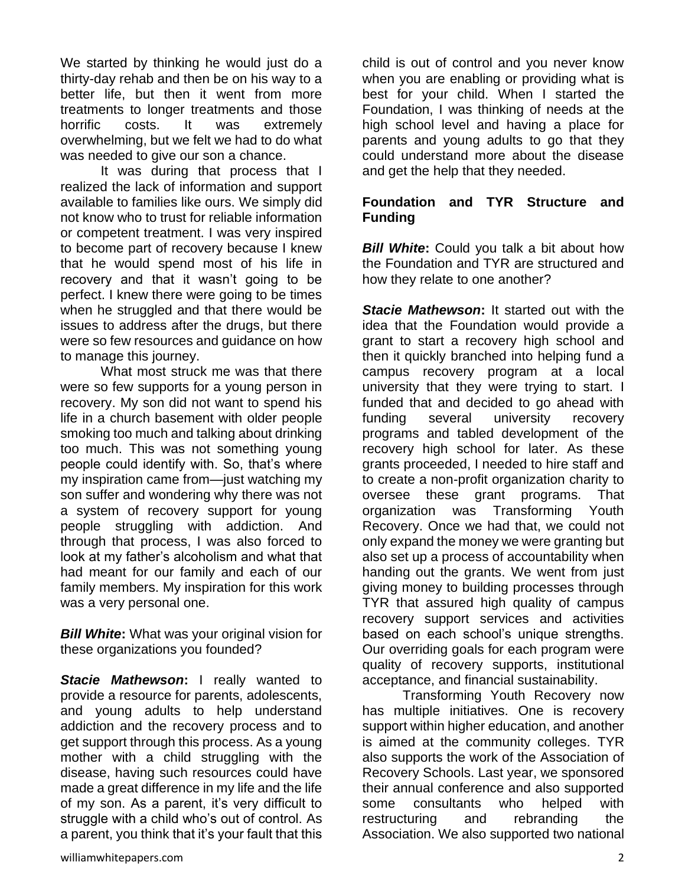We started by thinking he would just do a thirty-day rehab and then be on his way to a better life, but then it went from more treatments to longer treatments and those horrific costs. It was extremely overwhelming, but we felt we had to do what was needed to give our son a chance.

It was during that process that I realized the lack of information and support available to families like ours. We simply did not know who to trust for reliable information or competent treatment. I was very inspired to become part of recovery because I knew that he would spend most of his life in recovery and that it wasn't going to be perfect. I knew there were going to be times when he struggled and that there would be issues to address after the drugs, but there were so few resources and guidance on how to manage this journey.

What most struck me was that there were so few supports for a young person in recovery. My son did not want to spend his life in a church basement with older people smoking too much and talking about drinking too much. This was not something young people could identify with. So, that's where my inspiration came from—just watching my son suffer and wondering why there was not a system of recovery support for young people struggling with addiction. And through that process, I was also forced to look at my father's alcoholism and what that had meant for our family and each of our family members. My inspiration for this work was a very personal one.

*Bill White***:** What was your original vision for these organizations you founded?

*Stacie Mathewson***:** I really wanted to provide a resource for parents, adolescents, and young adults to help understand addiction and the recovery process and to get support through this process. As a young mother with a child struggling with the disease, having such resources could have made a great difference in my life and the life of my son. As a parent, it's very difficult to struggle with a child who's out of control. As a parent, you think that it's your fault that this

child is out of control and you never know when you are enabling or providing what is best for your child. When I started the Foundation, I was thinking of needs at the high school level and having a place for parents and young adults to go that they could understand more about the disease and get the help that they needed.

## **Foundation and TYR Structure and Funding**

*Bill White:* Could you talk a bit about how the Foundation and TYR are structured and how they relate to one another?

*Stacie Mathewson***:** It started out with the idea that the Foundation would provide a grant to start a recovery high school and then it quickly branched into helping fund a campus recovery program at a local university that they were trying to start. I funded that and decided to go ahead with funding several university recovery programs and tabled development of the recovery high school for later. As these grants proceeded, I needed to hire staff and to create a non-profit organization charity to oversee these grant programs. That organization was Transforming Youth Recovery. Once we had that, we could not only expand the money we were granting but also set up a process of accountability when handing out the grants. We went from just giving money to building processes through TYR that assured high quality of campus recovery support services and activities based on each school's unique strengths. Our overriding goals for each program were quality of recovery supports, institutional acceptance, and financial sustainability.

Transforming Youth Recovery now has multiple initiatives. One is recovery support within higher education, and another is aimed at the community colleges. TYR also supports the work of the Association of Recovery Schools. Last year, we sponsored their annual conference and also supported some consultants who helped with restructuring and rebranding the Association. We also supported two national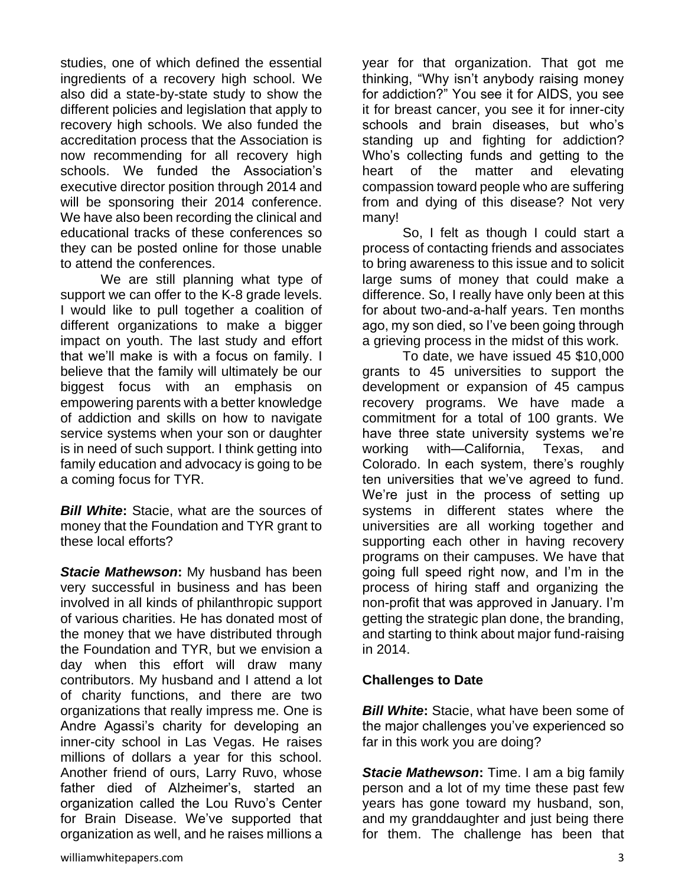studies, one of which defined the essential ingredients of a recovery high school. We also did a state-by-state study to show the different policies and legislation that apply to recovery high schools. We also funded the accreditation process that the Association is now recommending for all recovery high schools. We funded the Association's executive director position through 2014 and will be sponsoring their 2014 conference. We have also been recording the clinical and educational tracks of these conferences so they can be posted online for those unable to attend the conferences.

We are still planning what type of support we can offer to the K-8 grade levels. I would like to pull together a coalition of different organizations to make a bigger impact on youth. The last study and effort that we'll make is with a focus on family. I believe that the family will ultimately be our biggest focus with an emphasis on empowering parents with a better knowledge of addiction and skills on how to navigate service systems when your son or daughter is in need of such support. I think getting into family education and advocacy is going to be a coming focus for TYR.

*Bill White***:** Stacie, what are the sources of money that the Foundation and TYR grant to these local efforts?

*Stacie Mathewson***:** My husband has been very successful in business and has been involved in all kinds of philanthropic support of various charities. He has donated most of the money that we have distributed through the Foundation and TYR, but we envision a day when this effort will draw many contributors. My husband and I attend a lot of charity functions, and there are two organizations that really impress me. One is Andre Agassi's charity for developing an inner-city school in Las Vegas. He raises millions of dollars a year for this school. Another friend of ours, Larry Ruvo, whose father died of Alzheimer's, started an organization called the Lou Ruvo's Center for Brain Disease. We've supported that organization as well, and he raises millions a

year for that organization. That got me thinking, "Why isn't anybody raising money for addiction?" You see it for AIDS, you see it for breast cancer, you see it for inner-city schools and brain diseases, but who's standing up and fighting for addiction? Who's collecting funds and getting to the heart of the matter and elevating compassion toward people who are suffering from and dying of this disease? Not very many!

So, I felt as though I could start a process of contacting friends and associates to bring awareness to this issue and to solicit large sums of money that could make a difference. So, I really have only been at this for about two-and-a-half years. Ten months ago, my son died, so I've been going through a grieving process in the midst of this work.

To date, we have issued 45 \$10,000 grants to 45 universities to support the development or expansion of 45 campus recovery programs. We have made a commitment for a total of 100 grants. We have three state university systems we're working with—California, Texas, and Colorado. In each system, there's roughly ten universities that we've agreed to fund. We're just in the process of setting up systems in different states where the universities are all working together and supporting each other in having recovery programs on their campuses. We have that going full speed right now, and I'm in the process of hiring staff and organizing the non-profit that was approved in January. I'm getting the strategic plan done, the branding, and starting to think about major fund-raising in 2014.

#### **Challenges to Date**

*Bill White***:** Stacie, what have been some of the major challenges you've experienced so far in this work you are doing?

*Stacie Mathewson***:** Time. I am a big family person and a lot of my time these past few years has gone toward my husband, son, and my granddaughter and just being there for them. The challenge has been that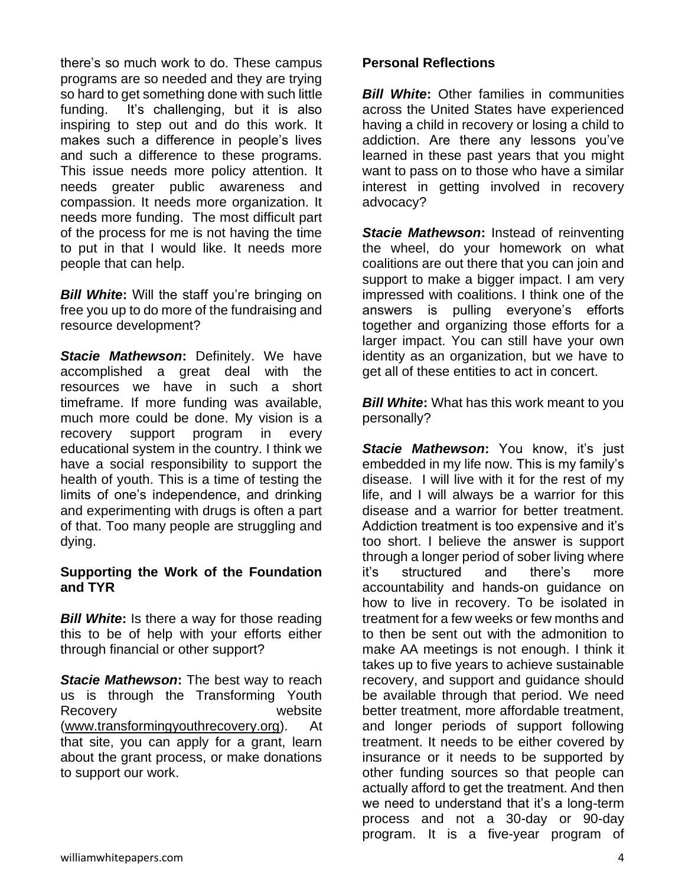there's so much work to do. These campus programs are so needed and they are trying so hard to get something done with such little funding. It's challenging, but it is also inspiring to step out and do this work. It makes such a difference in people's lives and such a difference to these programs. This issue needs more policy attention. It needs greater public awareness and compassion. It needs more organization. It needs more funding. The most difficult part of the process for me is not having the time to put in that I would like. It needs more people that can help.

*Bill White***:** Will the staff you're bringing on free you up to do more of the fundraising and resource development?

*Stacie Mathewson***:** Definitely. We have accomplished a great deal with the resources we have in such a short timeframe. If more funding was available, much more could be done. My vision is a recovery support program in every educational system in the country. I think we have a social responsibility to support the health of youth. This is a time of testing the limits of one's independence, and drinking and experimenting with drugs is often a part of that. Too many people are struggling and dying.

#### **Supporting the Work of the Foundation and TYR**

*Bill White***:** Is there a way for those reading this to be of help with your efforts either through financial or other support?

**Stacie Mathewson:** The best way to reach us is through the Transforming Youth Recovery website [\(www.transformingyouthrecovery.org\)](http://www.transformingyouthrecovery.org/). At that site, you can apply for a grant, learn about the grant process, or make donations to support our work.

#### **Personal Reflections**

*Bill White***:** Other families in communities across the United States have experienced having a child in recovery or losing a child to addiction. Are there any lessons you've learned in these past years that you might want to pass on to those who have a similar interest in getting involved in recovery advocacy?

*Stacie Mathewson***:** Instead of reinventing the wheel, do your homework on what coalitions are out there that you can join and support to make a bigger impact. I am very impressed with coalitions. I think one of the answers is pulling everyone's efforts together and organizing those efforts for a larger impact. You can still have your own identity as an organization, but we have to get all of these entities to act in concert.

*Bill White***:** What has this work meant to you personally?

*Stacie Mathewson***:** You know, it's just embedded in my life now. This is my family's disease. I will live with it for the rest of my life, and I will always be a warrior for this disease and a warrior for better treatment. Addiction treatment is too expensive and it's too short. I believe the answer is support through a longer period of sober living where it's structured and there's more accountability and hands-on guidance on how to live in recovery. To be isolated in treatment for a few weeks or few months and to then be sent out with the admonition to make AA meetings is not enough. I think it takes up to five years to achieve sustainable recovery, and support and guidance should be available through that period. We need better treatment, more affordable treatment, and longer periods of support following treatment. It needs to be either covered by insurance or it needs to be supported by other funding sources so that people can actually afford to get the treatment. And then we need to understand that it's a long-term process and not a 30-day or 90-day program. It is a five-year program of